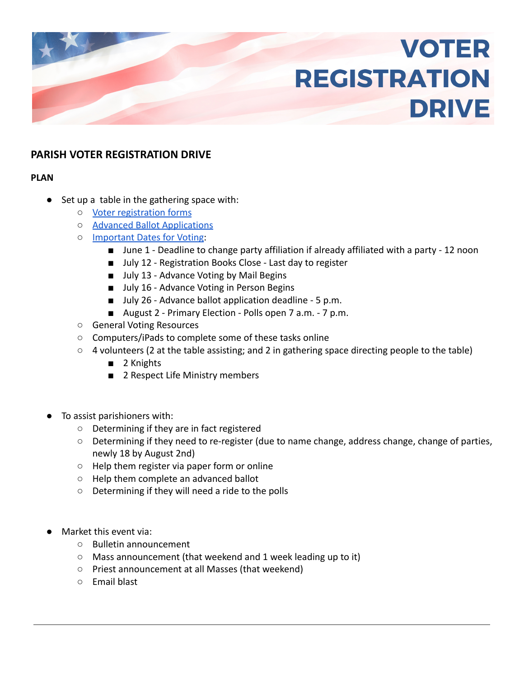# **VOTER REGISTRATION DRIVE**

# **PARISH VOTER REGISTRATION DRIVE**

# **PLAN**

- Set up a table in the gathering space with:
	- [Voter registration forms](https://www.jocoelection.org/sites/default/files/VoterRegistrationSOS.pdf)
	- [Advanced Ballot Applications](https://jocoelection.org/sites/default/files/advapp.pdf)
	- [Important Dates for Voting](https://sos.ks.gov/images/elections/2022-Election-Dates-01-27-22.png):
		- June 1 Deadline to change party affiliation if already affiliated with a party 12 noon
		- July 12 Registration Books Close Last day to register
		- July 13 Advance Voting by Mail Begins
		- July 16 Advance Voting in Person Begins
		- July 26 Advance ballot application deadline 5 p.m.
		- August 2 Primary Election Polls open 7 a.m. 7 p.m.
	- General Voting Resources
	- Computers/iPads to complete some of these tasks online
	- 4 volunteers (2 at the table assisting; and 2 in gathering space directing people to the table)
		- 2 Knights
		- 2 Respect Life Ministry members
- To assist parishioners with:
	- Determining if they are in fact registered
	- Determining if they need to re-register (due to name change, address change, change of parties, newly 18 by August 2nd)
	- Help them register via paper form or online
	- Help them complete an advanced ballot
	- Determining if they will need a ride to the polls
- Market this event via:
	- Bulletin announcement
	- Mass announcement (that weekend and 1 week leading up to it)
	- Priest announcement at all Masses (that weekend)
	- Email blast